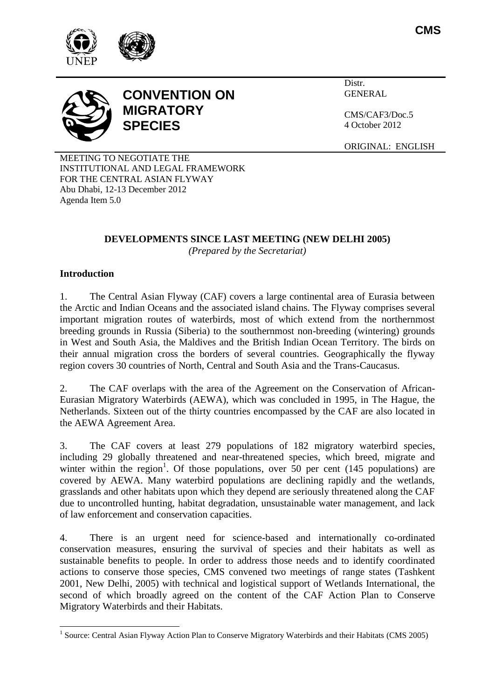





Distr. **GENERAL** 

CMS/CAF3/Doc.5 4 October 2012

ORIGINAL: ENGLISH

MEETING TO NEGOTIATE THE INSTITUTIONAL AND LEGAL FRAMEWORK FOR THE CENTRAL ASIAN FLYWAY Abu Dhabi, 12-13 December 2012 Agenda Item 5.0

# **DEVELOPMENTS SINCE LAST MEETING (NEW DELHI 2005)**

*(Prepared by the Secretariat)*

### **Introduction**

 $\overline{a}$ 

1. The Central Asian Flyway (CAF) covers a large continental area of Eurasia between the Arctic and Indian Oceans and the associated island chains. The Flyway comprises several important migration routes of waterbirds, most of which extend from the northernmost breeding grounds in Russia (Siberia) to the southernmost non-breeding (wintering) grounds in West and South Asia, the Maldives and the British Indian Ocean Territory. The birds on their annual migration cross the borders of several countries. Geographically the flyway region covers 30 countries of North, Central and South Asia and the Trans-Caucasus.

2. The CAF overlaps with the area of the Agreement on the Conservation of African-Eurasian Migratory Waterbirds (AEWA), which was concluded in 1995, in The Hague, the Netherlands. Sixteen out of the thirty countries encompassed by the CAF are also located in the AEWA Agreement Area.

3. The CAF covers at least 279 populations of 182 migratory waterbird species, including 29 globally threatened and near-threatened species, which breed, migrate and winter within the region<sup>1</sup>. Of those populations, over 50 per cent (145 populations) are covered by AEWA. Many waterbird populations are declining rapidly and the wetlands, grasslands and other habitats upon which they depend are seriously threatened along the CAF due to uncontrolled hunting, habitat degradation, unsustainable water management, and lack of law enforcement and conservation capacities.

4. There is an urgent need for science-based and internationally co-ordinated conservation measures, ensuring the survival of species and their habitats as well as sustainable benefits to people. In order to address those needs and to identify coordinated actions to conserve those species, CMS convened two meetings of range states (Tashkent 2001, New Delhi, 2005) with technical and logistical support of Wetlands International, the second of which broadly agreed on the content of the CAF Action Plan to Conserve Migratory Waterbirds and their Habitats.

<sup>&</sup>lt;sup>1</sup> Source: Central Asian Flyway Action Plan to Conserve Migratory Waterbirds and their Habitats (CMS 2005)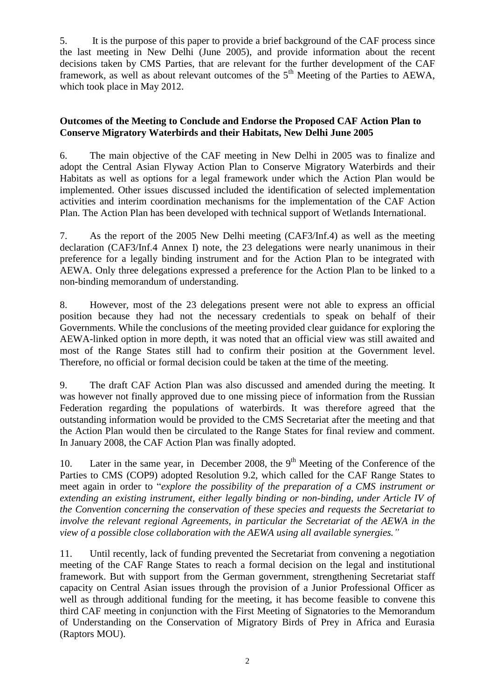5. It is the purpose of this paper to provide a brief background of the CAF process since the last meeting in New Delhi (June 2005), and provide information about the recent decisions taken by CMS Parties, that are relevant for the further development of the CAF framework, as well as about relevant outcomes of the  $5<sup>th</sup>$  Meeting of the Parties to AEWA, which took place in May 2012.

#### **Outcomes of the Meeting to Conclude and Endorse the Proposed CAF Action Plan to Conserve Migratory Waterbirds and their Habitats, New Delhi June 2005**

6. The main objective of the CAF meeting in New Delhi in 2005 was to finalize and adopt the Central Asian Flyway Action Plan to Conserve Migratory Waterbirds and their Habitats as well as options for a legal framework under which the Action Plan would be implemented. Other issues discussed included the identification of selected implementation activities and interim coordination mechanisms for the implementation of the CAF Action Plan. The Action Plan has been developed with technical support of Wetlands International.

7. As the report of the 2005 New Delhi meeting (CAF3/Inf.4) as well as the meeting declaration (CAF3/Inf.4 Annex I) note, the 23 delegations were nearly unanimous in their preference for a legally binding instrument and for the Action Plan to be integrated with AEWA. Only three delegations expressed a preference for the Action Plan to be linked to a non-binding memorandum of understanding.

8. However, most of the 23 delegations present were not able to express an official position because they had not the necessary credentials to speak on behalf of their Governments. While the conclusions of the meeting provided clear guidance for exploring the AEWA-linked option in more depth, it was noted that an official view was still awaited and most of the Range States still had to confirm their position at the Government level. Therefore, no official or formal decision could be taken at the time of the meeting.

9. The draft CAF Action Plan was also discussed and amended during the meeting. It was however not finally approved due to one missing piece of information from the Russian Federation regarding the populations of waterbirds. It was therefore agreed that the outstanding information would be provided to the CMS Secretariat after the meeting and that the Action Plan would then be circulated to the Range States for final review and comment. In January 2008, the CAF Action Plan was finally adopted.

10. Later in the same year, in December 2008, the 9<sup>th</sup> Meeting of the Conference of the Parties to CMS (COP9) adopted Resolution 9.2, which called for the CAF Range States to meet again in order to "*explore the possibility of the preparation of a CMS instrument or extending an existing instrument, either legally binding or non-binding, under Article IV of the Convention concerning the conservation of these species and requests the Secretariat to involve the relevant regional Agreements, in particular the Secretariat of the AEWA in the view of a possible close collaboration with the AEWA using all available synergies."*

11. Until recently, lack of funding prevented the Secretariat from convening a negotiation meeting of the CAF Range States to reach a formal decision on the legal and institutional framework. But with support from the German government, strengthening Secretariat staff capacity on Central Asian issues through the provision of a Junior Professional Officer as well as through additional funding for the meeting, it has become feasible to convene this third CAF meeting in conjunction with the First Meeting of Signatories to the Memorandum of Understanding on the Conservation of Migratory Birds of Prey in Africa and Eurasia (Raptors MOU).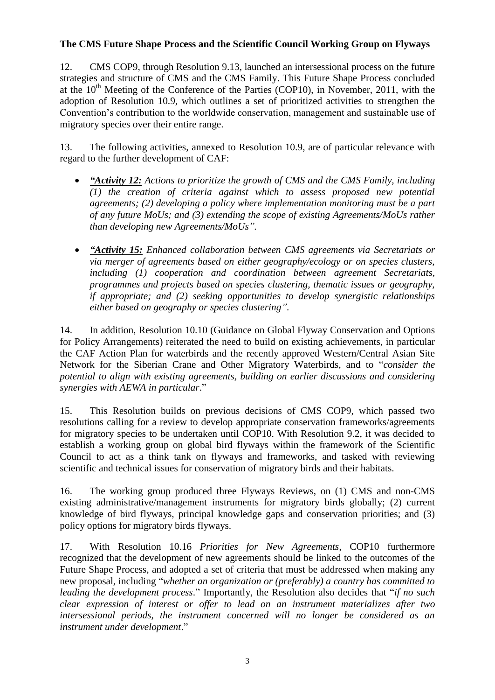#### **The CMS Future Shape Process and the Scientific Council Working Group on Flyways**

12. CMS COP9, through Resolution 9.13, launched an intersessional process on the future strategies and structure of CMS and the CMS Family. This Future Shape Process concluded at the  $10<sup>th</sup>$  Meeting of the Conference of the Parties (COP10), in November, 2011, with the adoption of Resolution 10.9, which outlines a set of prioritized activities to strengthen the Convention's contribution to the worldwide conservation, management and sustainable use of migratory species over their entire range.

13. The following activities, annexed to Resolution 10.9, are of particular relevance with regard to the further development of CAF:

- *"Activity 12: Actions to prioritize the growth of CMS and the CMS Family, including (1) the creation of criteria against which to assess proposed new potential agreements; (2) developing a policy where implementation monitoring must be a part of any future MoUs; and (3) extending the scope of existing Agreements/MoUs rather than developing new Agreements/MoUs".*
- *"Activity 15: Enhanced collaboration between CMS agreements via Secretariats or via merger of agreements based on either geography/ecology or on species clusters, including (1) cooperation and coordination between agreement Secretariats, programmes and projects based on species clustering, thematic issues or geography, if appropriate; and (2) seeking opportunities to develop synergistic relationships either based on geography or species clustering".*

14. In addition, Resolution 10.10 (Guidance on Global Flyway Conservation and Options for Policy Arrangements) reiterated the need to build on existing achievements, in particular the CAF Action Plan for waterbirds and the recently approved Western/Central Asian Site Network for the Siberian Crane and Other Migratory Waterbirds, and to "*consider the potential to align with existing agreements, building on earlier discussions and considering synergies with AEWA in particular*."

15. This Resolution builds on previous decisions of CMS COP9, which passed two resolutions calling for a review to develop appropriate conservation frameworks/agreements for migratory species to be undertaken until COP10. With Resolution 9.2, it was decided to establish a working group on global bird flyways within the framework of the Scientific Council to act as a think tank on flyways and frameworks, and tasked with reviewing scientific and technical issues for conservation of migratory birds and their habitats.

16. The working group produced three Flyways Reviews, on (1) CMS and non-CMS existing administrative/management instruments for migratory birds globally; (2) current knowledge of bird flyways, principal knowledge gaps and conservation priorities; and (3) policy options for migratory birds flyways.

17. With Resolution 10.16 *Priorities for New Agreements*, COP10 furthermore recognized that the development of new agreements should be linked to the outcomes of the Future Shape Process, and adopted a set of criteria that must be addressed when making any new proposal, including "*whether an organization or (preferably) a country has committed to leading the development process*." Importantly, the Resolution also decides that "*if no such clear expression of interest or offer to lead on an instrument materializes after two intersessional periods, the instrument concerned will no longer be considered as an instrument under development*."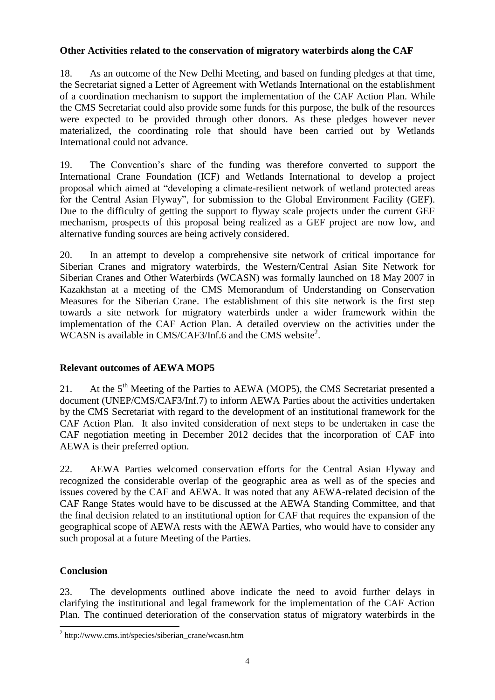#### **Other Activities related to the conservation of migratory waterbirds along the CAF**

18. As an outcome of the New Delhi Meeting, and based on funding pledges at that time, the Secretariat signed a Letter of Agreement with Wetlands International on the establishment of a coordination mechanism to support the implementation of the CAF Action Plan. While the CMS Secretariat could also provide some funds for this purpose, the bulk of the resources were expected to be provided through other donors. As these pledges however never materialized, the coordinating role that should have been carried out by Wetlands International could not advance.

19. The Convention's share of the funding was therefore converted to support the International Crane Foundation (ICF) and Wetlands International to develop a project proposal which aimed at "developing a climate-resilient network of wetland protected areas for the Central Asian Flyway", for submission to the Global Environment Facility (GEF). Due to the difficulty of getting the support to flyway scale projects under the current GEF mechanism, prospects of this proposal being realized as a GEF project are now low, and alternative funding sources are being actively considered.

20. In an attempt to develop a comprehensive site network of critical importance for Siberian Cranes and migratory waterbirds, the Western/Central Asian Site Network for Siberian Cranes and Other Waterbirds (WCASN) was formally launched on 18 May 2007 in Kazakhstan at a meeting of the CMS Memorandum of Understanding on Conservation Measures for the Siberian Crane. The establishment of this site network is the first step towards a site network for migratory waterbirds under a wider framework within the implementation of the CAF Action Plan. A detailed overview on the activities under the WCASN is available in CMS/CAF3/Inf.6 and the CMS website<sup>2</sup>.

## **Relevant outcomes of AEWA MOP5**

21. At the  $5<sup>th</sup>$  Meeting of the Parties to AEWA (MOP5), the CMS Secretariat presented a document (UNEP/CMS/CAF3/Inf.7) to inform AEWA Parties about the activities undertaken by the CMS Secretariat with regard to the development of an institutional framework for the CAF Action Plan. It also invited consideration of next steps to be undertaken in case the CAF negotiation meeting in December 2012 decides that the incorporation of CAF into AEWA is their preferred option.

22. AEWA Parties welcomed conservation efforts for the Central Asian Flyway and recognized the considerable overlap of the geographic area as well as of the species and issues covered by the CAF and AEWA. It was noted that any AEWA-related decision of the CAF Range States would have to be discussed at the AEWA Standing Committee, and that the final decision related to an institutional option for CAF that requires the expansion of the geographical scope of AEWA rests with the AEWA Parties, who would have to consider any such proposal at a future Meeting of the Parties.

## **Conclusion**

23. The developments outlined above indicate the need to avoid further delays in clarifying the institutional and legal framework for the implementation of the CAF Action Plan. The continued deterioration of the conservation status of migratory waterbirds in the

<sup>&</sup>lt;sup>2</sup> http://www.cms.int/species/siberian\_crane/wcasn.htm